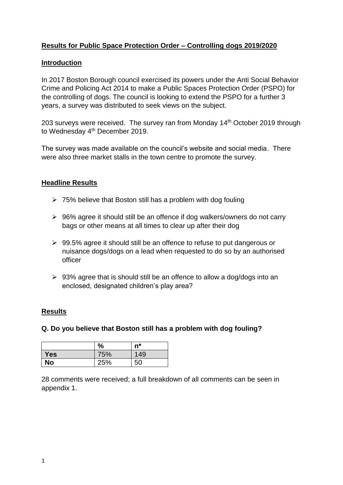# **Results for Public Space Protection Order – Controlling dogs 2019/2020**

### **Introduction**

In 2017 Boston Borough council exercised its powers under the Anti Social Behavior Crime and Policing Act 2014 to make a Public Spaces Protection Order (PSPO) for the controlling of dogs. The council is looking to extend the PSPO for a further 3 years, a survey was distributed to seek views on the subject.

203 surveys were received. The survey ran from Monday 14<sup>th</sup> October 2019 through to Wednesday 4<sup>th</sup> December 2019.

The survey was made available on the council's website and social media. There were also three market stalls in the town centre to promote the survey.

### **Headline Results**

- $\geq 75\%$  believe that Boston still has a problem with dog fouling
- ▶ 96% agree it should still be an offence if dog walkers/owners do not carry bags or other means at all times to clear up after their dog
- $\geq$  99.5% agree it should still be an offence to refuse to put dangerous or nuisance dogs/dogs on a lead when requested to do so by an authorised officer
- $\geq 93\%$  agree that is should still be an offence to allow a dog/dogs into an enclosed, designated children's play area?

#### **Results**

# **Q. Do you believe that Boston still has a problem with dog fouling?**

|            | $\frac{0}{0}$ | $n^*$ |
|------------|---------------|-------|
| <b>Yes</b> | 75%           | 149   |
| No         | 25%           | 50    |

28 comments were received; a full breakdown of all comments can be seen in appendix 1.